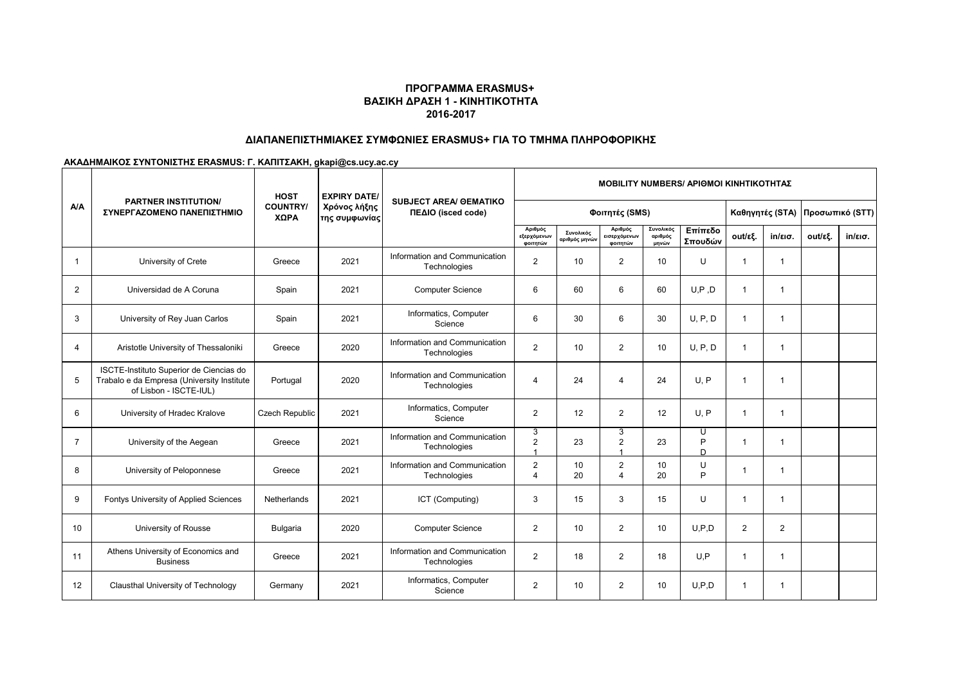# **ΔΙΑΠΑΝΕΠΙΣΤΗΜΙΑΚΕΣ ΣΥΜΦΩΝΙΕΣ ERASMUS+ ΓΙΑ ΤΟ ΤΜΗΜΑ ΠΛΗΡΟΦΟΡΙΚΗΣ**

|                | <b>PARTNER INSTITUTION/</b><br>ΣΥΝΕΡΓΑΖΟΜΕΝΟ ΠΑΝΕΠΙΣΤΗΜΙΟ                                                       | <b>HOST</b>             | <b>EXPIRY DATE/</b><br>Χρόνος λήξης<br>της συμφωνίας | <b>SUBJECT AREA/ GEMATIKO</b><br>ΠΕΔΙΟ (isced code) |                                         |                            |                                     |                               |                    |                | <b>MOBILITY NUMBERS/ APIOMOI KINHTIKOTHTAZ</b> |                                 |                   |  |  |  |  |  |  |
|----------------|-----------------------------------------------------------------------------------------------------------------|-------------------------|------------------------------------------------------|-----------------------------------------------------|-----------------------------------------|----------------------------|-------------------------------------|-------------------------------|--------------------|----------------|------------------------------------------------|---------------------------------|-------------------|--|--|--|--|--|--|
| <b>A/A</b>     |                                                                                                                 | <b>COUNTRY/</b><br>ΧΩΡΑ |                                                      |                                                     | Φοιτητές (SMS)                          |                            |                                     |                               |                    |                |                                                | Καθηγητές (STA) Προσωπικό (STT) |                   |  |  |  |  |  |  |
|                |                                                                                                                 |                         |                                                      |                                                     | Αριθμός<br>εξερχόμενων<br>φοιτητών      | Συνολικός<br>αριθμός μηνών | Αριθμός<br>εισερχόμενων<br>φοιτητών | Συνολικός<br>αριθμός<br>μηνών | Επίπεδο<br>Σπουδών | out/εξ.        | $in/\epsilon$ ισ.                              | out/εξ.                         | $in/\epsilon$ ισ. |  |  |  |  |  |  |
| $\overline{1}$ | University of Crete                                                                                             | Greece                  | 2021                                                 | Information and Communication<br>Technologies       | 2                                       | 10                         | $\overline{2}$                      | 10                            | U                  | $\mathbf{1}$   | 1                                              |                                 |                   |  |  |  |  |  |  |
| $\overline{2}$ | Universidad de A Coruna                                                                                         | Spain                   | 2021                                                 | <b>Computer Science</b>                             | 6                                       | 60                         | 6                                   | 60                            | U.P.D              | $\overline{1}$ | 1                                              |                                 |                   |  |  |  |  |  |  |
| 3              | University of Rey Juan Carlos                                                                                   | Spain                   | 2021                                                 | Informatics, Computer<br>Science                    | 6                                       | 30                         | 6                                   | 30                            | U, P, D            | $\overline{1}$ | 1                                              |                                 |                   |  |  |  |  |  |  |
| 4              | Aristotle University of Thessaloniki                                                                            | Greece                  | 2020                                                 | Information and Communication<br>Technologies       | 2                                       | 10                         | $\overline{2}$                      | 10 <sup>1</sup>               | U, P, D            | $\overline{1}$ | 1                                              |                                 |                   |  |  |  |  |  |  |
| 5              | ISCTE-Instituto Superior de Ciencias do<br>Trabalo e da Empresa (University Institute<br>of Lisbon - ISCTE-IUL) | Portugal                | 2020                                                 | Information and Communication<br>Technologies       | $\overline{4}$                          | 24                         | $\overline{4}$                      | 24                            | U.P                | $\overline{1}$ | -1                                             |                                 |                   |  |  |  |  |  |  |
| 6              | University of Hradec Kralove                                                                                    | Czech Republic          | 2021                                                 | Informatics, Computer<br>Science                    | $\overline{2}$                          | 12                         | 2                                   | 12                            | U, P               | $\overline{1}$ | -1                                             |                                 |                   |  |  |  |  |  |  |
| $\overline{7}$ | University of the Aegean                                                                                        | Greece                  | 2021                                                 | Information and Communication<br>Technologies       | 3<br>$\overline{2}$                     | 23                         | 3<br>$\overline{2}$<br>$\mathbf{1}$ | 23                            | U<br>P<br>D        | $\mathbf{1}$   | -1                                             |                                 |                   |  |  |  |  |  |  |
| 8              | University of Peloponnese                                                                                       | Greece                  | 2021                                                 | Information and Communication<br>Technologies       | $\overline{2}$<br>$\boldsymbol{\Delta}$ | 10<br>20                   | $\overline{2}$<br>4                 | 10<br>20                      | U<br>P             | -1             |                                                |                                 |                   |  |  |  |  |  |  |
| 9              | Fontys University of Applied Sciences                                                                           | Netherlands             | 2021                                                 | ICT (Computing)                                     | 3                                       | 15                         | 3                                   | 15                            | U                  | $\mathbf 1$    | -1                                             |                                 |                   |  |  |  |  |  |  |
| 10             | University of Rousse                                                                                            | Bulgaria                | 2020                                                 | <b>Computer Science</b>                             | $\overline{2}$                          | 10                         | $\overline{2}$                      | 10                            | U.P.D              | $\overline{2}$ | 2                                              |                                 |                   |  |  |  |  |  |  |
| 11             | Athens University of Economics and<br><b>Business</b>                                                           | Greece                  | 2021                                                 | Information and Communication<br>Technologies       | $\overline{2}$                          | 18                         | $\overline{2}$                      | 18                            | U.P                | $\mathbf{1}$   | -1                                             |                                 |                   |  |  |  |  |  |  |
| 12             | Clausthal University of Technology                                                                              | Germany                 | 2021                                                 | Informatics, Computer<br>Science                    | 2                                       | 10                         | $\overline{2}$                      | 10                            | U.P.D              | $\mathbf{1}$   | -1                                             |                                 |                   |  |  |  |  |  |  |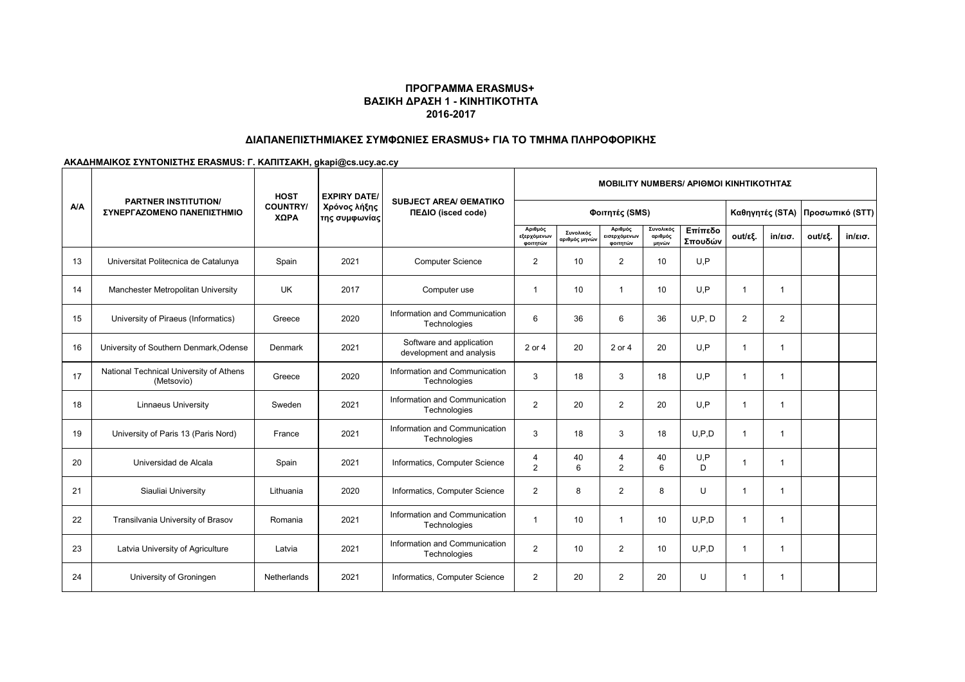# **ΔΙΑΠΑΝΕΠΙΣΤΗΜΙΑΚΕΣ ΣΥΜΦΩΝΙΕΣ ERASMUS+ ΓΙΑ ΤΟ ΤΜΗΜΑ ΠΛΗΡΟΦΟΡΙΚΗΣ**

|     | <b>PARTNER INSTITUTION/</b>                           | <b>MOBILITY NUMBERS/ APIOMOI KINHTIKOTHTAZ</b><br><b>HOST</b><br><b>EXPIRY DATE/</b><br><b>SUBJECT AREA/ GEMATIKO</b> |                               |                                                      |                                    |                            |                                     |                               |                    |                |                   |         |                   |
|-----|-------------------------------------------------------|-----------------------------------------------------------------------------------------------------------------------|-------------------------------|------------------------------------------------------|------------------------------------|----------------------------|-------------------------------------|-------------------------------|--------------------|----------------|-------------------|---------|-------------------|
| A/A | ΣΥΝΕΡΓΑΖΟΜΕΝΟ ΠΑΝΕΠΙΣΤΗΜΙΟ                            | <b>COUNTRY/</b><br>ΧΩΡΑ                                                                                               | Χρόνος λήξης<br>της συμφωνίας | ΠΕΔΙΟ (isced code)                                   |                                    | Καθηγητές (STA)            |                                     | Προσωπικό (STT)               |                    |                |                   |         |                   |
|     |                                                       |                                                                                                                       |                               |                                                      | Αριθμός<br>εξερχόμενων<br>φοιτητών | Συνολικός<br>αριθμός μηνών | Αριθμός<br>εισερχόμενων<br>φοιτητών | Συνολικός<br>αριθμός<br>μηνών | Επίπεδο<br>Σπουδών | out/εξ.        | $in/\epsilon$ ισ. | out/εξ. | $in/\epsilon$ ισ. |
| 13  | Universitat Politecnica de Catalunya                  | Spain                                                                                                                 | 2021                          | <b>Computer Science</b>                              | $\overline{2}$                     | 10 <sup>°</sup>            | $\overline{2}$                      | 10 <sup>1</sup>               | U.P                |                |                   |         |                   |
| 14  | Manchester Metropolitan University                    | <b>UK</b>                                                                                                             | 2017                          | Computer use                                         | $\mathbf 1$                        | 10 <sup>°</sup>            | $\mathbf 1$                         | 10 <sup>1</sup>               | U.P                | $\mathbf 1$    | 1                 |         |                   |
| 15  | University of Piraeus (Informatics)                   | Greece                                                                                                                | 2020                          | Information and Communication<br>Technologies        | 6                                  | 36                         | 6                                   | 36                            | U, P, D            | $\overline{2}$ | $\overline{2}$    |         |                   |
| 16  | University of Southern Denmark, Odense                | Denmark                                                                                                               | 2021                          | Software and application<br>development and analysis | 2 or 4                             | 20                         | 2 or 4                              | 20                            | U.P                | $\mathbf{1}$   | 1                 |         |                   |
| 17  | National Technical University of Athens<br>(Metsovio) | Greece                                                                                                                | 2020                          | Information and Communication<br>Technologies        | 3                                  | 18                         | 3                                   | 18                            | U.P                | $\mathbf 1$    | 1                 |         |                   |
| 18  | <b>Linnaeus University</b>                            | Sweden                                                                                                                | 2021                          | Information and Communication<br>Technologies        | $\overline{2}$                     | 20                         | $\overline{2}$                      | 20                            | U.P                | $\mathbf{1}$   | 1                 |         |                   |
| 19  | University of Paris 13 (Paris Nord)                   | France                                                                                                                | 2021                          | Information and Communication<br>Technologies        | 3                                  | 18                         | 3                                   | 18                            | U.P.D              | $\mathbf 1$    | 1                 |         |                   |
| 20  | Universidad de Alcala                                 | Spain                                                                                                                 | 2021                          | Informatics, Computer Science                        | 4<br>2                             | 40<br>6                    | 4<br>2                              | 40<br>6                       | U, P<br>D.         | $\mathbf 1$    | 1                 |         |                   |
| 21  | Siauliai University                                   | Lithuania                                                                                                             | 2020                          | Informatics, Computer Science                        | $\overline{2}$                     | 8                          | $\overline{2}$                      | 8                             | U                  | $\mathbf{1}$   | 1                 |         |                   |
| 22  | Transilvania University of Brasov                     | Romania                                                                                                               | 2021                          | Information and Communication<br>Technologies        | $\mathbf 1$                        | 10                         | $\overline{1}$                      | 10                            | U.P.D              | $\mathbf{1}$   | $\mathbf{1}$      |         |                   |
| 23  | Latvia University of Agriculture                      | Latvia                                                                                                                | 2021                          | Information and Communication<br>Technologies        | 2                                  | 10                         | $\overline{2}$                      | 10 <sup>°</sup>               | U.P.D              | $\mathbf{1}$   | 1                 |         |                   |
| 24  | University of Groningen                               | Netherlands                                                                                                           | 2021                          | Informatics, Computer Science                        | $\overline{2}$                     | 20                         | $\overline{2}$                      | 20                            | U                  | $\mathbf 1$    | 1                 |         |                   |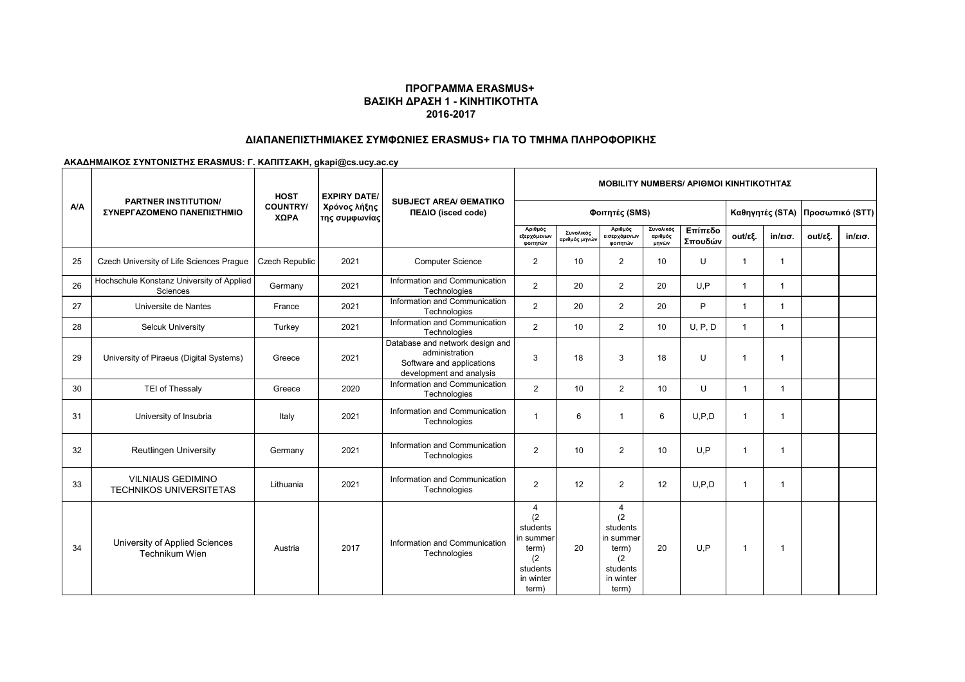# **ΔΙΑΠΑΝΕΠΙΣΤΗΜΙΑΚΕΣ ΣΥΜΦΩΝΙΕΣ ERASMUS+ ΓΙΑ ΤΟ ΤΜΗΜΑ ΠΛΗΡΟΦΟΡΙΚΗΣ**

|            |                                                            | <b>HOST</b>             | <b>EXPIRY DATE/</b>           |                                                                                                            | <b>MOBILITY NUMBERS/ APIOMOI KINHTIKOTHTAZ</b>                                      |                            |                                                                                     |                               |                    |                 |                   |                 |                   |  |
|------------|------------------------------------------------------------|-------------------------|-------------------------------|------------------------------------------------------------------------------------------------------------|-------------------------------------------------------------------------------------|----------------------------|-------------------------------------------------------------------------------------|-------------------------------|--------------------|-----------------|-------------------|-----------------|-------------------|--|
| <b>A/A</b> | <b>PARTNER INSTITUTION/</b><br>ΣΥΝΕΡΓΑΖΟΜΕΝΟ ΠΑΝΕΠΙΣΤΗΜΙΟ  | <b>COUNTRY/</b><br>ΧΩΡΑ | Χρόνος λήξης<br>της συμφωνίας | <b>SUBJECT AREA/ OEMATIKO</b><br>ΠΕΔΙΟ (isced code)                                                        | Φοιτητές (SMS)                                                                      |                            |                                                                                     |                               |                    | Καθηγητές (STA) |                   | Προσωπικό (STT) |                   |  |
|            |                                                            |                         |                               |                                                                                                            | Αριθμός<br>εξερχόμενων<br>φοιτητών                                                  | Συνολικός<br>αριθμός μηνών | Αριθμός<br><b>εισερχόμενων</b><br>φοιτητών                                          | Συνολικός<br>αριθμός<br>μηνών | Επίπεδο<br>Σπουδών | out/εξ.         | $in/\epsilon$ ισ. | out/εξ.         | $in/\epsilon$ ισ. |  |
| 25         | Czech University of Life Sciences Prague                   | <b>Czech Republic</b>   | 2021                          | <b>Computer Science</b>                                                                                    | $\overline{2}$                                                                      | 10                         | $\overline{2}$                                                                      | 10                            | U                  | $\mathbf 1$     | $\mathbf{1}$      |                 |                   |  |
| 26         | Hochschule Konstanz University of Applied<br>Sciences      | Germany                 | 2021                          | Information and Communication<br>Technologies                                                              | $\overline{2}$                                                                      | 20                         | $\overline{2}$                                                                      | 20                            | U.P                | $\mathbf{1}$    | $\mathbf{1}$      |                 |                   |  |
| 27         | Universite de Nantes                                       | France                  | 2021                          | Information and Communication<br>Technologies                                                              | $\overline{2}$                                                                      | 20                         | $\overline{2}$                                                                      | 20                            | P                  | $\mathbf{1}$    | $\mathbf{1}$      |                 |                   |  |
| 28         | <b>Selcuk University</b>                                   | Turkey                  | 2021                          | Information and Communication<br>Technologies                                                              | $\overline{2}$                                                                      | 10                         | $\overline{2}$                                                                      | 10 <sup>1</sup>               | U, P, D            | $\mathbf{1}$    | $\mathbf{1}$      |                 |                   |  |
| 29         | University of Piraeus (Digital Systems)                    | Greece                  | 2021                          | Database and network design and<br>administration<br>Software and applications<br>development and analysis | 3                                                                                   | 18                         | 3                                                                                   | 18                            | $\cup$             | 1               | $\mathbf 1$       |                 |                   |  |
| 30         | TEI of Thessaly                                            | Greece                  | 2020                          | Information and Communication<br>Technologies                                                              | $\overline{2}$                                                                      | 10                         | $\overline{2}$                                                                      | 10                            | U                  | $\overline{1}$  | 1                 |                 |                   |  |
| 31         | University of Insubria                                     | Italy                   | 2021                          | Information and Communication<br>Technologies                                                              |                                                                                     | 6                          | 1                                                                                   | 6                             | U.P.D              | $\overline{1}$  | -1                |                 |                   |  |
| 32         | <b>Reutlingen University</b>                               | Germany                 | 2021                          | Information and Communication<br>Technologies                                                              | $\overline{2}$                                                                      | 10                         | $\overline{2}$                                                                      | 10                            | U.P                | $\mathbf{1}$    | 1                 |                 |                   |  |
| 33         | <b>VILNIAUS GEDIMINO</b><br><b>TECHNIKOS UNIVERSITETAS</b> | Lithuania               | 2021                          | Information and Communication<br>Technologies                                                              | $\overline{2}$                                                                      | 12                         | $\overline{2}$                                                                      | 12                            | U.P.D              | $\mathbf{1}$    | -1                |                 |                   |  |
| 34         | University of Applied Sciences<br>Technikum Wien           | Austria                 | 2017                          | Information and Communication<br>Technologies                                                              | 4<br>(2)<br>students<br>in summer<br>term)<br>(2)<br>students<br>in winter<br>term) | 20                         | 4<br>(2)<br>students<br>in summer<br>term)<br>(2)<br>students<br>in winter<br>term) | 20                            | U.P                | $\mathbf{1}$    | -1                |                 |                   |  |